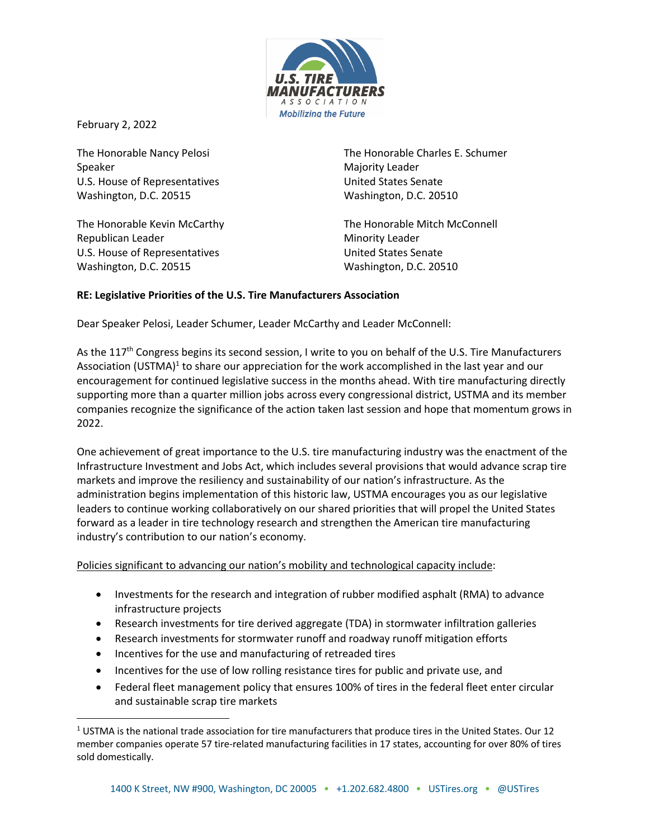

February 2, 2022

The Honorable Nancy Pelosi Speaker U.S. House of Representatives Washington, D.C. 20515

The Honorable Kevin McCarthy Republican Leader U.S. House of Representatives Washington, D.C. 20515

The Honorable Charles E. Schumer Majority Leader United States Senate Washington, D.C. 20510

The Honorable Mitch McConnell Minority Leader United States Senate Washington, D.C. 20510

#### **RE: Legislative Priorities of the U.S. Tire Manufacturers Association**

Dear Speaker Pelosi, Leader Schumer, Leader McCarthy and Leader McConnell:

As the 117<sup>th</sup> Congress begins its second session, I write to you on behalf of the U.S. Tire Manufacturers Association (USTMA)<sup>1</sup> to share our appreciation for the work accomplished in the last year and our encouragement for continued legislative success in the months ahead. With tire manufacturing directly supporting more than a quarter million jobs across every congressional district, USTMA and its member companies recognize the significance of the action taken last session and hope that momentum grows in 2022.

One achievement of great importance to the U.S. tire manufacturing industry was the enactment of the Infrastructure Investment and Jobs Act, which includes several provisions that would advance scrap tire markets and improve the resiliency and sustainability of our nation's infrastructure. As the administration begins implementation of this historic law, USTMA encourages you as our legislative leaders to continue working collaboratively on our shared priorities that will propel the United States forward as a leader in tire technology research and strengthen the American tire manufacturing industry's contribution to our nation's economy.

Policies significant to advancing our nation's mobility and technological capacity include:

- Investments for the research and integration of rubber modified asphalt (RMA) to advance infrastructure projects
- Research investments for tire derived aggregate (TDA) in stormwater infiltration galleries
- Research investments for stormwater runoff and roadway runoff mitigation efforts
- Incentives for the use and manufacturing of retreaded tires
- Incentives for the use of low rolling resistance tires for public and private use, and
- Federal fleet management policy that ensures 100% of tires in the federal fleet enter circular and sustainable scrap tire markets

 $1$  USTMA is the national trade association for tire manufacturers that produce tires in the United States. Our 12 member companies operate 57 tire-related manufacturing facilities in 17 states, accounting for over 80% of tires sold domestically.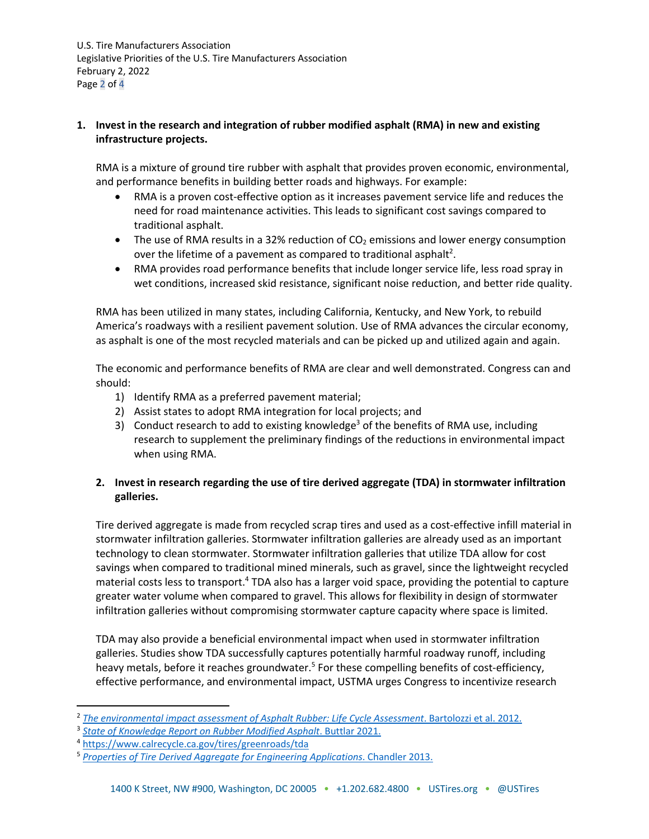## **1. Invest in the research and integration of rubber modified asphalt (RMA) in new and existing infrastructure projects.**

RMA is a mixture of ground tire rubber with asphalt that provides proven economic, environmental, and performance benefits in building better roads and highways. For example:

- RMA is a proven cost-effective option as it increases pavement service life and reduces the need for road maintenance activities. This leads to significant cost savings compared to traditional asphalt.
- The use of RMA results in a 32% reduction of  $CO<sub>2</sub>$  emissions and lower energy consumption over the lifetime of a pavement as compared to traditional asphalt<sup>2</sup>.
- RMA provides road performance benefits that include longer service life, less road spray in wet conditions, increased skid resistance, significant noise reduction, and better ride quality.

RMA has been utilized in many states, including California, Kentucky, and New York, to rebuild America's roadways with a resilient pavement solution. Use of RMA advances the circular economy, as asphalt is one of the most recycled materials and can be picked up and utilized again and again.

The economic and performance benefits of RMA are clear and well demonstrated. Congress can and should:

- 1) Identify RMA as a preferred pavement material;
- 2) Assist states to adopt RMA integration for local projects; and
- 3) Conduct research to add to existing knowledge<sup>3</sup> of the benefits of RMA use, including research to supplement the preliminary findings of the reductions in environmental impact when using RMA.

# **2. Invest in research regarding the use of tire derived aggregate (TDA) in stormwater infiltration galleries.**

Tire derived aggregate is made from recycled scrap tires and used as a cost-effective infill material in stormwater infiltration galleries. Stormwater infiltration galleries are already used as an important technology to clean stormwater. Stormwater infiltration galleries that utilize TDA allow for cost savings when compared to traditional mined minerals, such as gravel, since the lightweight recycled material costs less to transport.<sup>4</sup> TDA also has a larger void space, providing the potential to capture greater water volume when compared to gravel. This allows for flexibility in design of stormwater infiltration galleries without compromising stormwater capture capacity where space is limited.

TDA may also provide a beneficial environmental impact when used in stormwater infiltration galleries. Studies show TDA successfully captures potentially harmful roadway runoff, including heavy metals, before it reaches groundwater.<sup>5</sup> For these compelling benefits of cost-efficiency, effective performance, and environmental impact, USTMA urges Congress to incentivize research

<sup>2</sup> *The environmental impact assessment of Asphalt Rubber: Life Cycle Assessment*. Bartolozzi et al. 2012.

<sup>3</sup> *State of Knowledge Report on Rubber Modified Asphalt*. Buttlar 2021.

<sup>4</sup> https://www.calrecycle.ca.gov/tires/greenroads/tda

<sup>5</sup> *Properties of Tire Derived Aggregate for Engineering Applications*. Chandler 2013.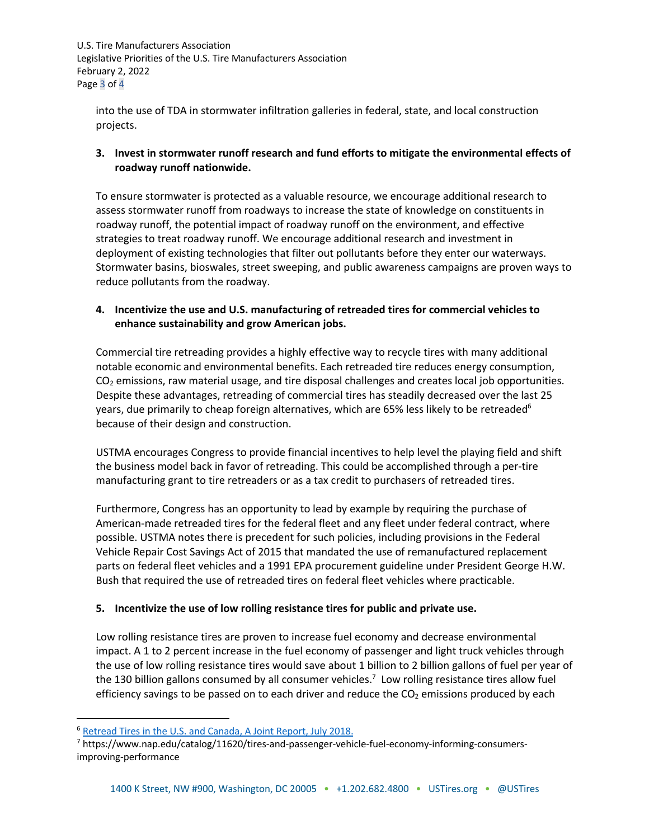U.S. Tire Manufacturers Association Legislative Priorities of the U.S. Tire Manufacturers Association February 2, 2022 Page 3 of 4

into the use of TDA in stormwater infiltration galleries in federal, state, and local construction projects.

## **3. Invest in stormwater runoff research and fund efforts to mitigate the environmental effects of roadway runoff nationwide.**

To ensure stormwater is protected as a valuable resource, we encourage additional research to assess stormwater runoff from roadways to increase the state of knowledge on constituents in roadway runoff, the potential impact of roadway runoff on the environment, and effective strategies to treat roadway runoff. We encourage additional research and investment in deployment of existing technologies that filter out pollutants before they enter our waterways. Stormwater basins, bioswales, street sweeping, and public awareness campaigns are proven ways to reduce pollutants from the roadway.

#### **4. Incentivize the use and U.S. manufacturing of retreaded tires for commercial vehicles to enhance sustainability and grow American jobs.**

Commercial tire retreading provides a highly effective way to recycle tires with many additional notable economic and environmental benefits. Each retreaded tire reduces energy consumption,  $CO<sub>2</sub>$  emissions, raw material usage, and tire disposal challenges and creates local job opportunities. Despite these advantages, retreading of commercial tires has steadily decreased over the last 25 years, due primarily to cheap foreign alternatives, which are 65% less likely to be retreaded<sup>6</sup> because of their design and construction.

USTMA encourages Congress to provide financial incentives to help level the playing field and shift the business model back in favor of retreading. This could be accomplished through a per-tire manufacturing grant to tire retreaders or as a tax credit to purchasers of retreaded tires.

Furthermore, Congress has an opportunity to lead by example by requiring the purchase of American-made retreaded tires for the federal fleet and any fleet under federal contract, where possible. USTMA notes there is precedent for such policies, including provisions in the Federal Vehicle Repair Cost Savings Act of 2015 that mandated the use of remanufactured replacement parts on federal fleet vehicles and a 1991 EPA procurement guideline under President George H.W. Bush that required the use of retreaded tires on federal fleet vehicles where practicable.

## **5. Incentivize the use of low rolling resistance tires for public and private use.**

Low rolling resistance tires are proven to increase fuel economy and decrease environmental impact. A 1 to 2 percent increase in the fuel economy of passenger and light truck vehicles through the use of low rolling resistance tires would save about 1 billion to 2 billion gallons of fuel per year of the 130 billion gallons consumed by all consumer vehicles.<sup>7</sup> Low rolling resistance tires allow fuel efficiency savings to be passed on to each driver and reduce the  $CO<sub>2</sub>$  emissions produced by each

<sup>6</sup> Retread Tires in the U.S. and Canada, A Joint Report, July 2018.

<sup>7</sup> https://www.nap.edu/catalog/11620/tires-and-passenger-vehicle-fuel-economy-informing-consumersimproving-performance